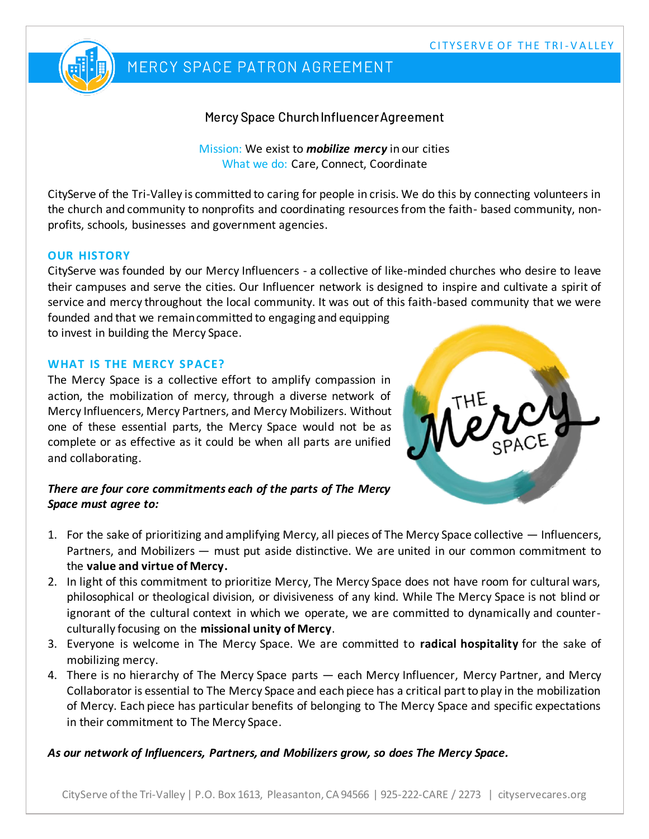

## MERCY SPACE PATRON AGREEMENT

### Mercy Space Church Influencer Agreement

Mission: We exist to *mobilize mercy* in our cities What we do: Care, Connect, Coordinate

CityServe of the Tri-Valley is committed to caring for people in crisis. We do this by connecting volunteers in the church and community to nonprofits and coordinating resources from the faith- based community, nonprofits, schools, businesses and government agencies.

#### **OUR HISTORY**

CityServe was founded by our Mercy Influencers - a collective of like-minded churches who desire to leave their campuses and serve the cities. Our Influencer network is designed to inspire and cultivate a spirit of service and mercy throughout the local community. It was out of this faith-based community that we were founded and that we remain committed to engaging and equipping to invest in building the Mercy Space.

### **WHAT IS THE MERCY SPACE?**

The Mercy Space is a collective effort to amplify compassion in action, the mobilization of mercy, through a diverse network of Mercy Influencers, Mercy Partners, and Mercy Mobilizers. Without one of these essential parts, the Mercy Space would not be as complete or as effective as it could be when all parts are unified and collaborating.



#### *There are four core commitments each of the parts of The Mercy Space must agree to:*

- 1. For the sake of prioritizing and amplifying Mercy, all pieces of The Mercy Space collective Influencers, Partners, and Mobilizers — must put aside distinctive. We are united in our common commitment to the **value and virtue of Mercy.**
- 2. In light of this commitment to prioritize Mercy, The Mercy Space does not have room for cultural wars, philosophical or theological division, or divisiveness of any kind. While The Mercy Space is not blind or ignorant of the cultural context in which we operate, we are committed to dynamically and counterculturally focusing on the **missional unity of Mercy**.
- 3. Everyone is welcome in The Mercy Space. We are committed to **radical hospitality** for the sake of mobilizing mercy.
- 4. There is no hierarchy of The Mercy Space parts each Mercy Influencer, Mercy Partner, and Mercy Collaborator is essential to The Mercy Space and each piece has a critical part to play in the mobilization of Mercy. Each piece has particular benefits of belonging to The Mercy Space and specific expectations in their commitment to The Mercy Space.

*As our network of Influencers, Partners, and Mobilizers grow, so does The Mercy Space.*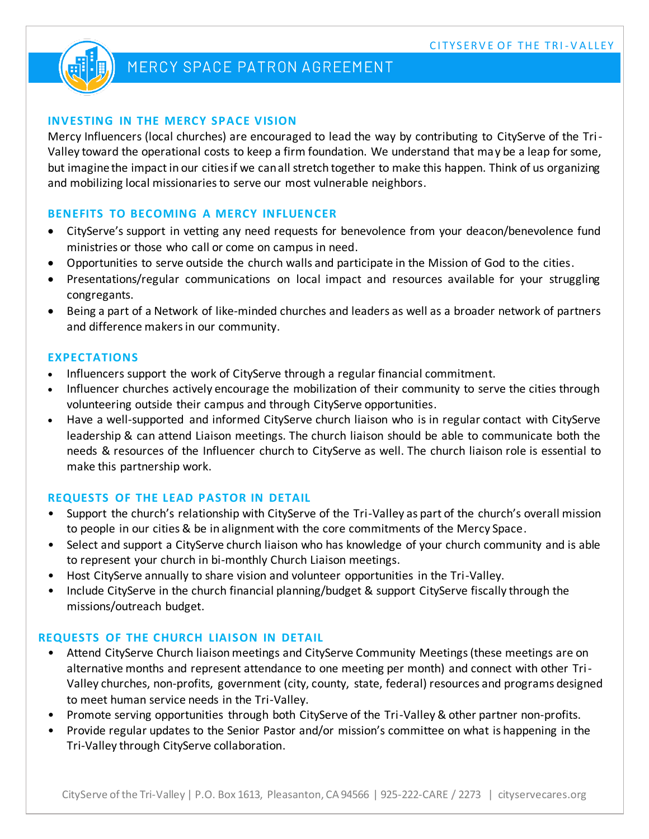

# MERCY SPACE PATRON AGREEMENT

#### **INVESTING IN THE MERCY SPACE VISION**

Mercy Influencers (local churches) are encouraged to lead the way by contributing to CityServe of the Tri-Valley toward the operational costs to keep a firm foundation. We understand that may be a leap for some, but imagine the impact in our cities if we can all stretch together to make this happen. Think of us organizing and mobilizing local missionaries to serve our most vulnerable neighbors.

#### **BENEFITS TO BECOMING A MERCY INFLUENCER**

- CityServe's support in vetting any need requests for benevolence from your deacon/benevolence fund ministries or those who call or come on campus in need.
- Opportunities to serve outside the church walls and participate in the Mission of God to the cities.
- Presentations/regular communications on local impact and resources available for your struggling congregants.
- Being a part of a Network of like-minded churches and leaders as well as a broader network of partners and difference makers in our community.

#### **EXPECTATIONS**

- Influencers support the work of CityServe through a regular financial commitment.
- Influencer churches actively encourage the mobilization of their community to serve the cities through volunteering outside their campus and through CityServe opportunities.
- Have a well-supported and informed CityServe church liaison who is in regular contact with CityServe leadership & can attend Liaison meetings. The church liaison should be able to communicate both the needs & resources of the Influencer church to CityServe as well. The church liaison role is essential to make this partnership work.

#### **REQUESTS OF THE LEAD PASTOR IN DETAIL**

- Support the church's relationship with CityServe of the Tri-Valley as part of the church's overall mission to people in our cities & be in alignment with the core commitments of the Mercy Space.
- Select and support a CityServe church liaison who has knowledge of your church community and is able to represent your church in bi-monthly Church Liaison meetings.
- Host CityServe annually to share vision and volunteer opportunities in the Tri-Valley.
- Include CityServe in the church financial planning/budget & support CityServe fiscally through the missions/outreach budget.

#### **REQUESTS OF THE CHURCH LIAISON IN DETAIL**

- Attend CityServe Church liaison meetings and CityServe Community Meetings (these meetings are on alternative months and represent attendance to one meeting per month) and connect with other Tri-Valley churches, non-profits, government (city, county, state, federal) resources and programs designed to meet human service needs in the Tri-Valley.
- Promote serving opportunities through both CityServe of the Tri-Valley & other partner non-profits.
- Provide regular updates to the Senior Pastor and/or mission's committee on what is happening in the Tri-Valley through CityServe collaboration.